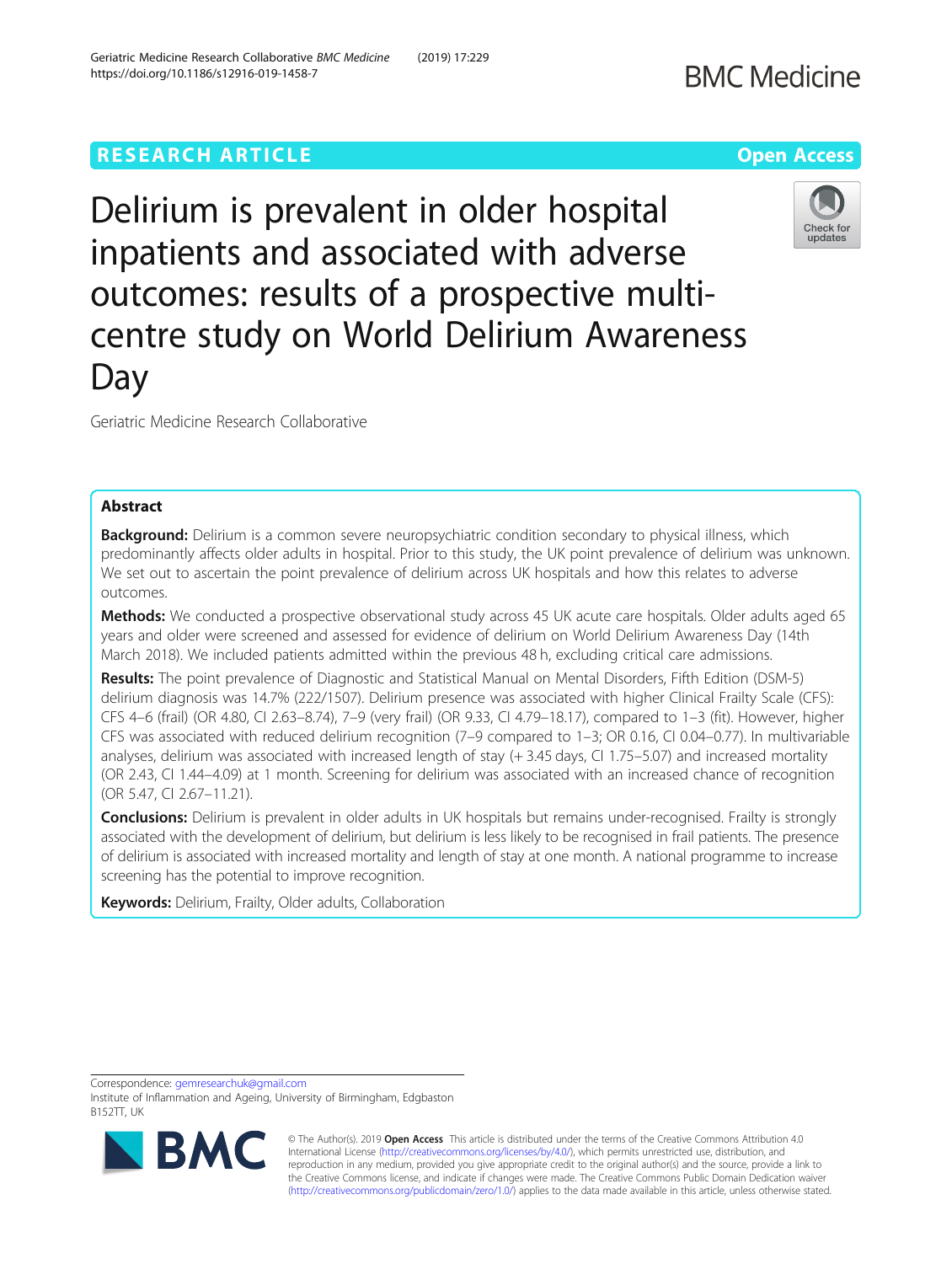# **RESEARCH ARTICLE Example 2014 12:30 The Company Access Open Access**

Delirium is prevalent in older hospital inpatients and associated with adverse outcomes: results of a prospective multicentre study on World Delirium Awareness Day

Geriatric Medicine Research Collaborative

# Abstract

**Background:** Delirium is a common severe neuropsychiatric condition secondary to physical illness, which predominantly affects older adults in hospital. Prior to this study, the UK point prevalence of delirium was unknown. We set out to ascertain the point prevalence of delirium across UK hospitals and how this relates to adverse outcomes.

Methods: We conducted a prospective observational study across 45 UK acute care hospitals. Older adults aged 65 years and older were screened and assessed for evidence of delirium on World Delirium Awareness Day (14th March 2018). We included patients admitted within the previous 48 h, excluding critical care admissions.

Results: The point prevalence of Diagnostic and Statistical Manual on Mental Disorders, Fifth Edition (DSM-5) delirium diagnosis was 14.7% (222/1507). Delirium presence was associated with higher Clinical Frailty Scale (CFS): CFS 4–6 (frail) (OR 4.80, CI 2.63–8.74), 7–9 (very frail) (OR 9.33, CI 4.79–18.17), compared to 1–3 (fit). However, higher CFS was associated with reduced delirium recognition (7–9 compared to 1–3; OR 0.16, CI 0.04–0.77). In multivariable analyses, delirium was associated with increased length of stay (+ 3.45 days, CI 1.75–5.07) and increased mortality (OR 2.43, CI 1.44–4.09) at 1 month. Screening for delirium was associated with an increased chance of recognition (OR 5.47, CI 2.67–11.21).

Conclusions: Delirium is prevalent in older adults in UK hospitals but remains under-recognised. Frailty is strongly associated with the development of delirium, but delirium is less likely to be recognised in frail patients. The presence of delirium is associated with increased mortality and length of stay at one month. A national programme to increase screening has the potential to improve recognition.

Keywords: Delirium, Frailty, Older adults, Collaboration

Correspondence: [gemresearchuk@gmail.com](mailto:gemresearchuk@gmail.com)



**BMC** 

Institute of Inflammation and Ageing, University of Birmingham, Edgbaston B152TT, UK



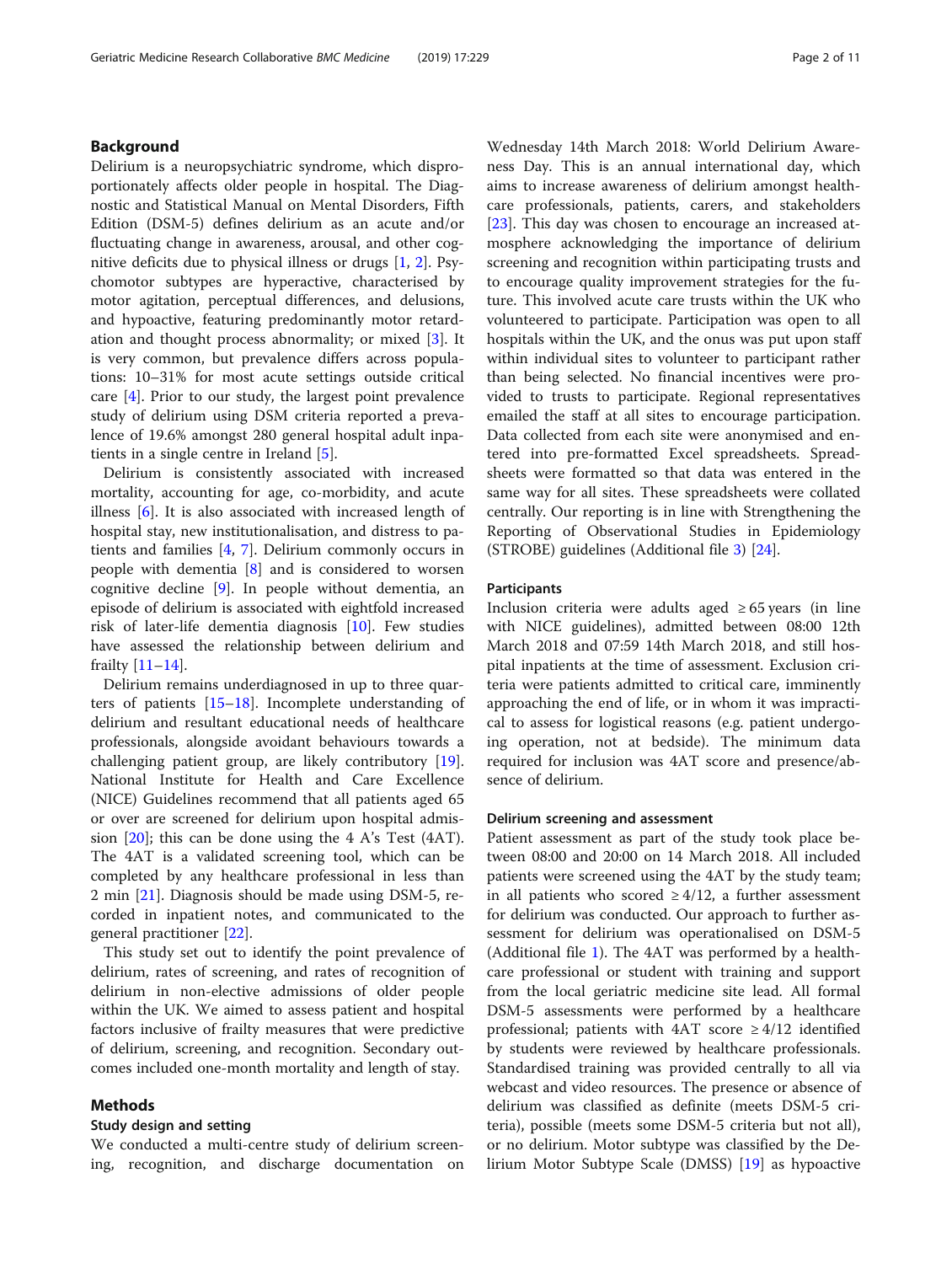# Background

Delirium is a neuropsychiatric syndrome, which disproportionately affects older people in hospital. The Diagnostic and Statistical Manual on Mental Disorders, Fifth Edition (DSM-5) defines delirium as an acute and/or fluctuating change in awareness, arousal, and other cognitive deficits due to physical illness or drugs [[1](#page-9-0), [2\]](#page-9-0). Psychomotor subtypes are hyperactive, characterised by motor agitation, perceptual differences, and delusions, and hypoactive, featuring predominantly motor retardation and thought process abnormality; or mixed [\[3\]](#page-9-0). It is very common, but prevalence differs across populations: 10–31% for most acute settings outside critical care [\[4](#page-9-0)]. Prior to our study, the largest point prevalence study of delirium using DSM criteria reported a prevalence of 19.6% amongst 280 general hospital adult inpatients in a single centre in Ireland [\[5](#page-9-0)].

Delirium is consistently associated with increased mortality, accounting for age, co-morbidity, and acute illness [[6\]](#page-9-0). It is also associated with increased length of hospital stay, new institutionalisation, and distress to patients and families [[4,](#page-9-0) [7\]](#page-9-0). Delirium commonly occurs in people with dementia [\[8](#page-9-0)] and is considered to worsen cognitive decline  $[9]$  $[9]$ . In people without dementia, an episode of delirium is associated with eightfold increased risk of later-life dementia diagnosis [[10\]](#page-9-0). Few studies have assessed the relationship between delirium and frailty [\[11](#page-9-0)–[14\]](#page-9-0).

Delirium remains underdiagnosed in up to three quarters of patients [[15](#page-9-0)–[18](#page-10-0)]. Incomplete understanding of delirium and resultant educational needs of healthcare professionals, alongside avoidant behaviours towards a challenging patient group, are likely contributory [\[19](#page-10-0)]. National Institute for Health and Care Excellence (NICE) Guidelines recommend that all patients aged 65 or over are screened for delirium upon hospital admission  $[20]$  $[20]$  $[20]$ ; this can be done using the 4 A's Test (4AT). The 4AT is a validated screening tool, which can be completed by any healthcare professional in less than 2 min [[21\]](#page-10-0). Diagnosis should be made using DSM-5, recorded in inpatient notes, and communicated to the general practitioner [\[22\]](#page-10-0).

This study set out to identify the point prevalence of delirium, rates of screening, and rates of recognition of delirium in non-elective admissions of older people within the UK. We aimed to assess patient and hospital factors inclusive of frailty measures that were predictive of delirium, screening, and recognition. Secondary outcomes included one-month mortality and length of stay.

### Methods

# Study design and setting

We conducted a multi-centre study of delirium screening, recognition, and discharge documentation on

Wednesday 14th March 2018: World Delirium Awareness Day. This is an annual international day, which aims to increase awareness of delirium amongst healthcare professionals, patients, carers, and stakeholders [[23\]](#page-10-0). This day was chosen to encourage an increased atmosphere acknowledging the importance of delirium screening and recognition within participating trusts and to encourage quality improvement strategies for the future. This involved acute care trusts within the UK who volunteered to participate. Participation was open to all hospitals within the UK, and the onus was put upon staff within individual sites to volunteer to participant rather than being selected. No financial incentives were provided to trusts to participate. Regional representatives emailed the staff at all sites to encourage participation. Data collected from each site were anonymised and entered into pre-formatted Excel spreadsheets. Spreadsheets were formatted so that data was entered in the same way for all sites. These spreadsheets were collated centrally. Our reporting is in line with Strengthening the Reporting of Observational Studies in Epidemiology (STROBE) guidelines (Additional file [3\)](#page-8-0) [\[24](#page-10-0)].

#### **Participants**

Inclusion criteria were adults aged  $\geq 65$  years (in line with NICE guidelines), admitted between 08:00 12th March 2018 and 07:59 14th March 2018, and still hospital inpatients at the time of assessment. Exclusion criteria were patients admitted to critical care, imminently approaching the end of life, or in whom it was impractical to assess for logistical reasons (e.g. patient undergoing operation, not at bedside). The minimum data required for inclusion was 4AT score and presence/absence of delirium.

# Delirium screening and assessment

Patient assessment as part of the study took place between 08:00 and 20:00 on 14 March 2018. All included patients were screened using the 4AT by the study team; in all patients who scored  $\geq 4/12$ , a further assessment for delirium was conducted. Our approach to further assessment for delirium was operationalised on DSM-5 (Additional file [1\)](#page-8-0). The 4AT was performed by a healthcare professional or student with training and support from the local geriatric medicine site lead. All formal DSM-5 assessments were performed by a healthcare professional; patients with  $4AT$  score  $\geq 4/12$  identified by students were reviewed by healthcare professionals. Standardised training was provided centrally to all via webcast and video resources. The presence or absence of delirium was classified as definite (meets DSM-5 criteria), possible (meets some DSM-5 criteria but not all), or no delirium. Motor subtype was classified by the Delirium Motor Subtype Scale (DMSS) [[19](#page-10-0)] as hypoactive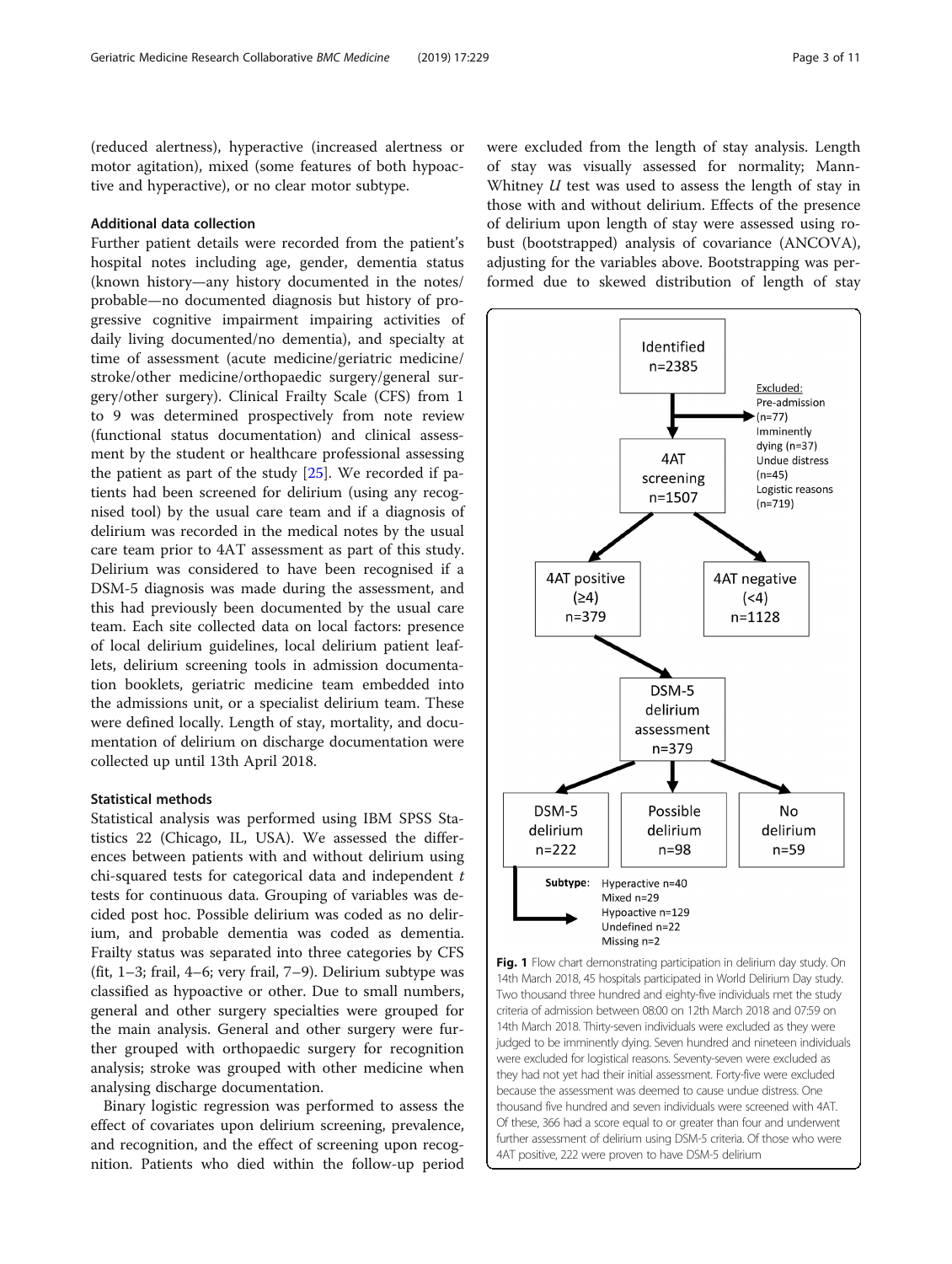<span id="page-2-0"></span>(reduced alertness), hyperactive (increased alertness or motor agitation), mixed (some features of both hypoactive and hyperactive), or no clear motor subtype.

# Additional data collection

Further patient details were recorded from the patient's hospital notes including age, gender, dementia status (known history—any history documented in the notes/ probable—no documented diagnosis but history of progressive cognitive impairment impairing activities of daily living documented/no dementia), and specialty at time of assessment (acute medicine/geriatric medicine/ stroke/other medicine/orthopaedic surgery/general surgery/other surgery). Clinical Frailty Scale (CFS) from 1 to 9 was determined prospectively from note review (functional status documentation) and clinical assessment by the student or healthcare professional assessing the patient as part of the study [[25](#page-10-0)]. We recorded if patients had been screened for delirium (using any recognised tool) by the usual care team and if a diagnosis of delirium was recorded in the medical notes by the usual care team prior to 4AT assessment as part of this study. Delirium was considered to have been recognised if a DSM-5 diagnosis was made during the assessment, and this had previously been documented by the usual care team. Each site collected data on local factors: presence of local delirium guidelines, local delirium patient leaflets, delirium screening tools in admission documentation booklets, geriatric medicine team embedded into the admissions unit, or a specialist delirium team. These were defined locally. Length of stay, mortality, and documentation of delirium on discharge documentation were collected up until 13th April 2018.

### Statistical methods

Statistical analysis was performed using IBM SPSS Statistics 22 (Chicago, IL, USA). We assessed the differences between patients with and without delirium using chi-squared tests for categorical data and independent t tests for continuous data. Grouping of variables was decided post hoc. Possible delirium was coded as no delirium, and probable dementia was coded as dementia. Frailty status was separated into three categories by CFS (fit, 1–3; frail, 4–6; very frail, 7–9). Delirium subtype was classified as hypoactive or other. Due to small numbers, general and other surgery specialties were grouped for the main analysis. General and other surgery were further grouped with orthopaedic surgery for recognition analysis; stroke was grouped with other medicine when analysing discharge documentation.

Binary logistic regression was performed to assess the effect of covariates upon delirium screening, prevalence, and recognition, and the effect of screening upon recognition. Patients who died within the follow-up period were excluded from the length of stay analysis. Length of stay was visually assessed for normality; Mann-Whitney U test was used to assess the length of stay in those with and without delirium. Effects of the presence of delirium upon length of stay were assessed using robust (bootstrapped) analysis of covariance (ANCOVA), adjusting for the variables above. Bootstrapping was performed due to skewed distribution of length of stay



Fig. 1 Flow chart demonstrating participation in delirium day study. On 14th March 2018, 45 hospitals participated in World Delirium Day study. Two thousand three hundred and eighty-five individuals met the study criteria of admission between 08:00 on 12th March 2018 and 07:59 on 14th March 2018. Thirty-seven individuals were excluded as they were judged to be imminently dying. Seven hundred and nineteen individuals were excluded for logistical reasons. Seventy-seven were excluded as they had not yet had their initial assessment. Forty-five were excluded because the assessment was deemed to cause undue distress. One thousand five hundred and seven individuals were screened with 4AT. Of these, 366 had a score equal to or greater than four and underwent further assessment of delirium using DSM-5 criteria. Of those who were 4AT positive, 222 were proven to have DSM-5 delirium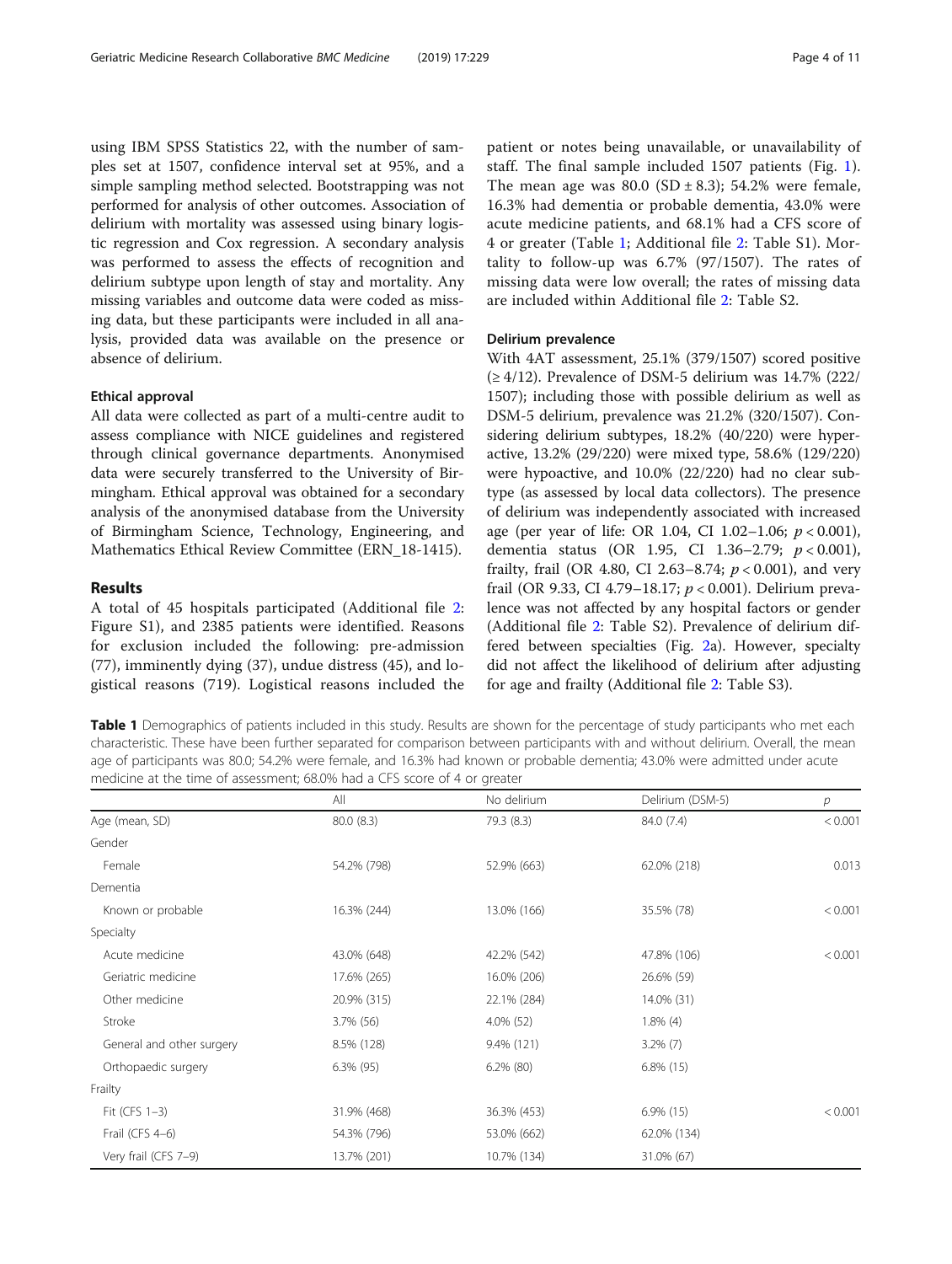using IBM SPSS Statistics 22, with the number of samples set at 1507, confidence interval set at 95%, and a simple sampling method selected. Bootstrapping was not performed for analysis of other outcomes. Association of delirium with mortality was assessed using binary logistic regression and Cox regression. A secondary analysis was performed to assess the effects of recognition and delirium subtype upon length of stay and mortality. Any missing variables and outcome data were coded as missing data, but these participants were included in all analysis, provided data was available on the presence or absence of delirium.

# Ethical approval

All data were collected as part of a multi-centre audit to assess compliance with NICE guidelines and registered through clinical governance departments. Anonymised data were securely transferred to the University of Birmingham. Ethical approval was obtained for a secondary analysis of the anonymised database from the University of Birmingham Science, Technology, Engineering, and Mathematics Ethical Review Committee (ERN\_18-1415).

# Results

A total of 45 hospitals participated (Additional file [2](#page-8-0): Figure S1), and 2385 patients were identified. Reasons for exclusion included the following: pre-admission (77), imminently dying (37), undue distress (45), and logistical reasons (719). Logistical reasons included the patient or notes being unavailable, or unavailability of staff. The final sample included 1507 patients (Fig. [1](#page-2-0)). The mean age was  $80.0$  (SD  $\pm$  8.3); 54.2% were female, 16.3% had dementia or probable dementia, 43.0% were acute medicine patients, and 68.1% had a CFS score of 4 or greater (Table 1; Additional file [2:](#page-8-0) Table S1). Mortality to follow-up was 6.7% (97/1507). The rates of missing data were low overall; the rates of missing data are included within Additional file [2](#page-8-0): Table S2.

# Delirium prevalence

With 4AT assessment, 25.1% (379/1507) scored positive  $(≥ 4/12)$ . Prevalence of DSM-5 delirium was 14.7% (222/ 1507); including those with possible delirium as well as DSM-5 delirium, prevalence was 21.2% (320/1507). Considering delirium subtypes, 18.2% (40/220) were hyperactive, 13.2% (29/220) were mixed type, 58.6% (129/220) were hypoactive, and 10.0% (22/220) had no clear subtype (as assessed by local data collectors). The presence of delirium was independently associated with increased age (per year of life: OR 1.04, CI 1.02–1.06;  $p < 0.001$ ), dementia status (OR 1.95, CI 1.36-2.79;  $p < 0.001$ ), frailty, frail (OR 4.80, CI 2.63–8.74;  $p < 0.001$ ), and very frail (OR 9.33, CI 4.79–18.17; p < 0.001). Delirium prevalence was not affected by any hospital factors or gender (Additional file [2:](#page-8-0) Table S2). Prevalence of delirium differed between specialties (Fig. [2a](#page-6-0)). However, specialty did not affect the likelihood of delirium after adjusting for age and frailty (Additional file [2:](#page-8-0) Table S3).

Table 1 Demographics of patients included in this study. Results are shown for the percentage of study participants who met each characteristic. These have been further separated for comparison between participants with and without delirium. Overall, the mean age of participants was 80.0; 54.2% were female, and 16.3% had known or probable dementia; 43.0% were admitted under acute medicine at the time of assessment; 68.0% had a CFS score of 4 or greater

|                           | All          | No delirium  | Delirium (DSM-5) | р       |  |
|---------------------------|--------------|--------------|------------------|---------|--|
| Age (mean, SD)            | 80.0 (8.3)   | 79.3 (8.3)   | 84.0 (7.4)       | < 0.001 |  |
| Gender                    |              |              |                  |         |  |
| Female                    | 54.2% (798)  | 52.9% (663)  | 62.0% (218)      | 0.013   |  |
| Dementia                  |              |              |                  |         |  |
| Known or probable         | 16.3% (244)  | 13.0% (166)  | 35.5% (78)       | < 0.001 |  |
| Specialty                 |              |              |                  |         |  |
| Acute medicine            | 43.0% (648)  | 42.2% (542)  | 47.8% (106)      | < 0.001 |  |
| Geriatric medicine        | 17.6% (265)  | 16.0% (206)  | 26.6% (59)       |         |  |
| Other medicine            | 20.9% (315)  | 22.1% (284)  | 14.0% (31)       |         |  |
| Stroke                    | 3.7% (56)    | $4.0\%$ (52) | $1.8\%$ (4)      |         |  |
| General and other surgery | 8.5% (128)   | 9.4% (121)   | $3.2\%$ (7)      |         |  |
| Orthopaedic surgery       | $6.3\%$ (95) | $6.2\%$ (80) | $6.8\%$ (15)     |         |  |
| Frailty                   |              |              |                  |         |  |
| Fit (CFS 1-3)             | 31.9% (468)  | 36.3% (453)  | $6.9\%$ (15)     | < 0.001 |  |
| Frail (CFS 4-6)           | 54.3% (796)  | 53.0% (662)  | 62.0% (134)      |         |  |
| Very frail (CFS 7-9)      | 13.7% (201)  | 10.7% (134)  | 31.0% (67)       |         |  |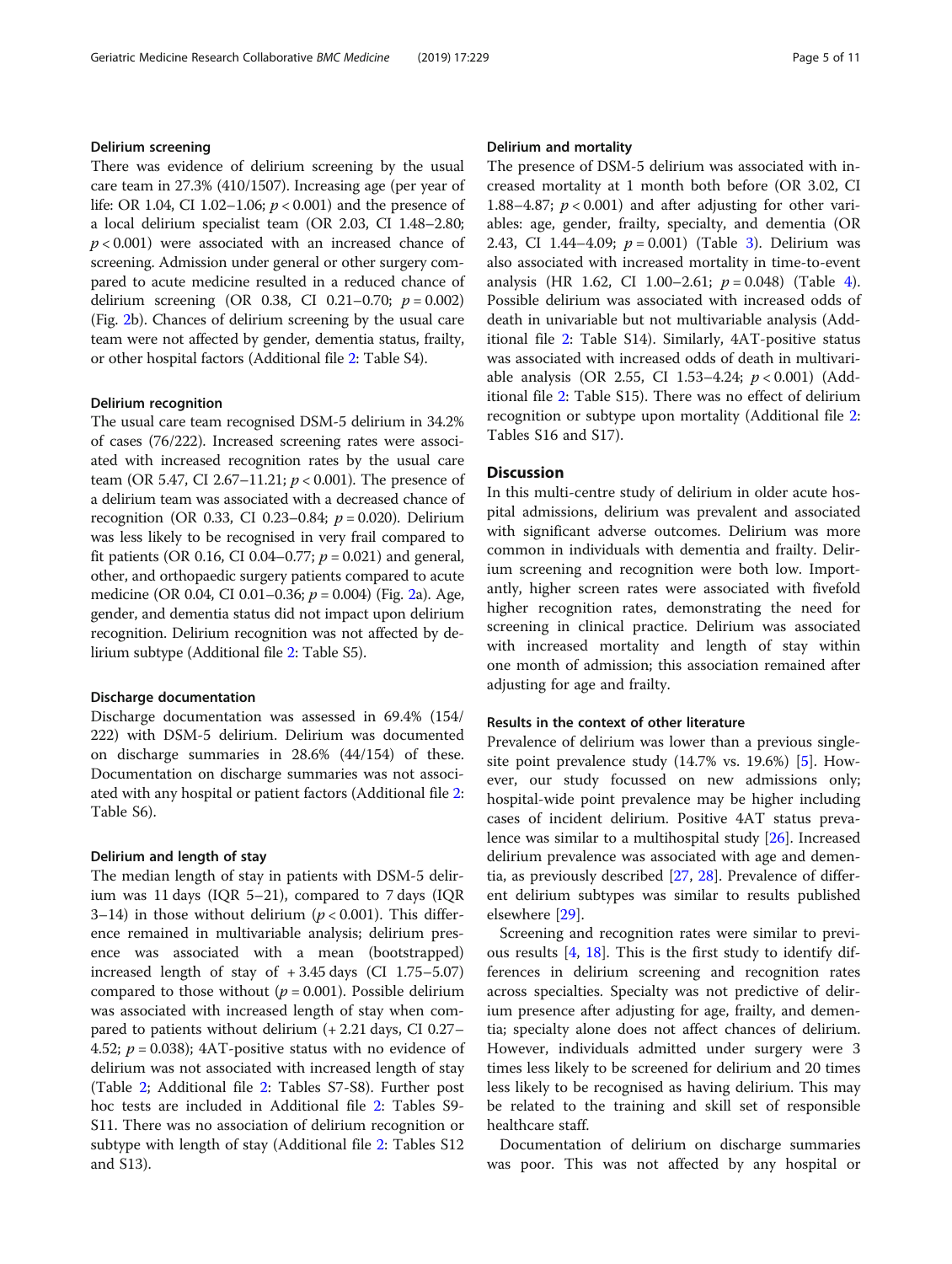# Delirium screening

There was evidence of delirium screening by the usual care team in 27.3% (410/1507). Increasing age (per year of life: OR 1.04, CI 1.02–1.06;  $p < 0.001$ ) and the presence of a local delirium specialist team (OR 2.03, CI 1.48–2.80;  $p < 0.001$ ) were associated with an increased chance of screening. Admission under general or other surgery compared to acute medicine resulted in a reduced chance of delirium screening (OR 0.38, CI 0.21–0.70;  $p = 0.002$ ) (Fig. [2b](#page-6-0)). Chances of delirium screening by the usual care team were not affected by gender, dementia status, frailty, or other hospital factors (Additional file [2:](#page-8-0) Table S4).

# Delirium recognition

The usual care team recognised DSM-5 delirium in 34.2% of cases (76/222). Increased screening rates were associated with increased recognition rates by the usual care team (OR 5.47, CI 2.67–11.21;  $p < 0.001$ ). The presence of a delirium team was associated with a decreased chance of recognition (OR 0.33, CI 0.23–0.84;  $p = 0.020$ ). Delirium was less likely to be recognised in very frail compared to fit patients (OR 0.16, CI 0.04–0.77;  $p = 0.021$ ) and general, other, and orthopaedic surgery patients compared to acute medicine (OR 0.04, CI 0.01–0.36;  $p = 0.004$ ) (Fig. [2](#page-6-0)a). Age, gender, and dementia status did not impact upon delirium recognition. Delirium recognition was not affected by delirium subtype (Additional file [2:](#page-8-0) Table S5).

### Discharge documentation

Discharge documentation was assessed in 69.4% (154/ 222) with DSM-5 delirium. Delirium was documented on discharge summaries in 28.6% (44/154) of these. Documentation on discharge summaries was not associated with any hospital or patient factors (Additional file [2](#page-8-0): Table S6).

# Delirium and length of stay

The median length of stay in patients with DSM-5 delirium was 11 days (IQR 5–21), compared to 7 days (IQR 3–14) in those without delirium ( $p < 0.001$ ). This difference remained in multivariable analysis; delirium presence was associated with a mean (bootstrapped) increased length of stay of  $+3.45$  days (CI 1.75–5.07) compared to those without ( $p = 0.001$ ). Possible delirium was associated with increased length of stay when compared to patients without delirium (+ 2.21 days, CI 0.27– 4.52;  $p = 0.038$ ); 4AT-positive status with no evidence of delirium was not associated with increased length of stay (Table [2](#page-6-0); Additional file [2:](#page-8-0) Tables S7-S8). Further post hoc tests are included in Additional file [2:](#page-8-0) Tables S9- S11. There was no association of delirium recognition or subtype with length of stay (Additional file [2:](#page-8-0) Tables S12 and S13).

The presence of DSM-5 delirium was associated with increased mortality at 1 month both before (OR 3.02, CI 1.88–4.87;  $p < 0.001$ ) and after adjusting for other variables: age, gender, frailty, specialty, and dementia (OR 2.43, CI 1.44–4.09;  $p = 0.001$ ) (Table [3\)](#page-7-0). Delirium was also associated with increased mortality in time-to-event analysis (HR 1.62, CI 1.00–2.61;  $p = 0.048$  $p = 0.048$  $p = 0.048$ ) (Table 4). Possible delirium was associated with increased odds of death in univariable but not multivariable analysis (Additional file [2](#page-8-0): Table S14). Similarly, 4AT-positive status was associated with increased odds of death in multivariable analysis (OR 2.55, CI 1.53–4.24; p < 0.001) (Additional file [2:](#page-8-0) Table S15). There was no effect of delirium recognition or subtype upon mortality (Additional file [2](#page-8-0): Tables S16 and S17).

# **Discussion**

In this multi-centre study of delirium in older acute hospital admissions, delirium was prevalent and associated with significant adverse outcomes. Delirium was more common in individuals with dementia and frailty. Delirium screening and recognition were both low. Importantly, higher screen rates were associated with fivefold higher recognition rates, demonstrating the need for screening in clinical practice. Delirium was associated with increased mortality and length of stay within one month of admission; this association remained after adjusting for age and frailty.

# Results in the context of other literature

Prevalence of delirium was lower than a previous singlesite point prevalence study (14.7% vs. 19.6%) [\[5](#page-9-0)]. However, our study focussed on new admissions only; hospital-wide point prevalence may be higher including cases of incident delirium. Positive 4AT status prevalence was similar to a multihospital study [\[26](#page-10-0)]. Increased delirium prevalence was associated with age and dementia, as previously described [[27](#page-10-0), [28\]](#page-10-0). Prevalence of different delirium subtypes was similar to results published elsewhere [[29](#page-10-0)].

Screening and recognition rates were similar to previous results [[4,](#page-9-0) [18](#page-10-0)]. This is the first study to identify differences in delirium screening and recognition rates across specialties. Specialty was not predictive of delirium presence after adjusting for age, frailty, and dementia; specialty alone does not affect chances of delirium. However, individuals admitted under surgery were 3 times less likely to be screened for delirium and 20 times less likely to be recognised as having delirium. This may be related to the training and skill set of responsible healthcare staff.

Documentation of delirium on discharge summaries was poor. This was not affected by any hospital or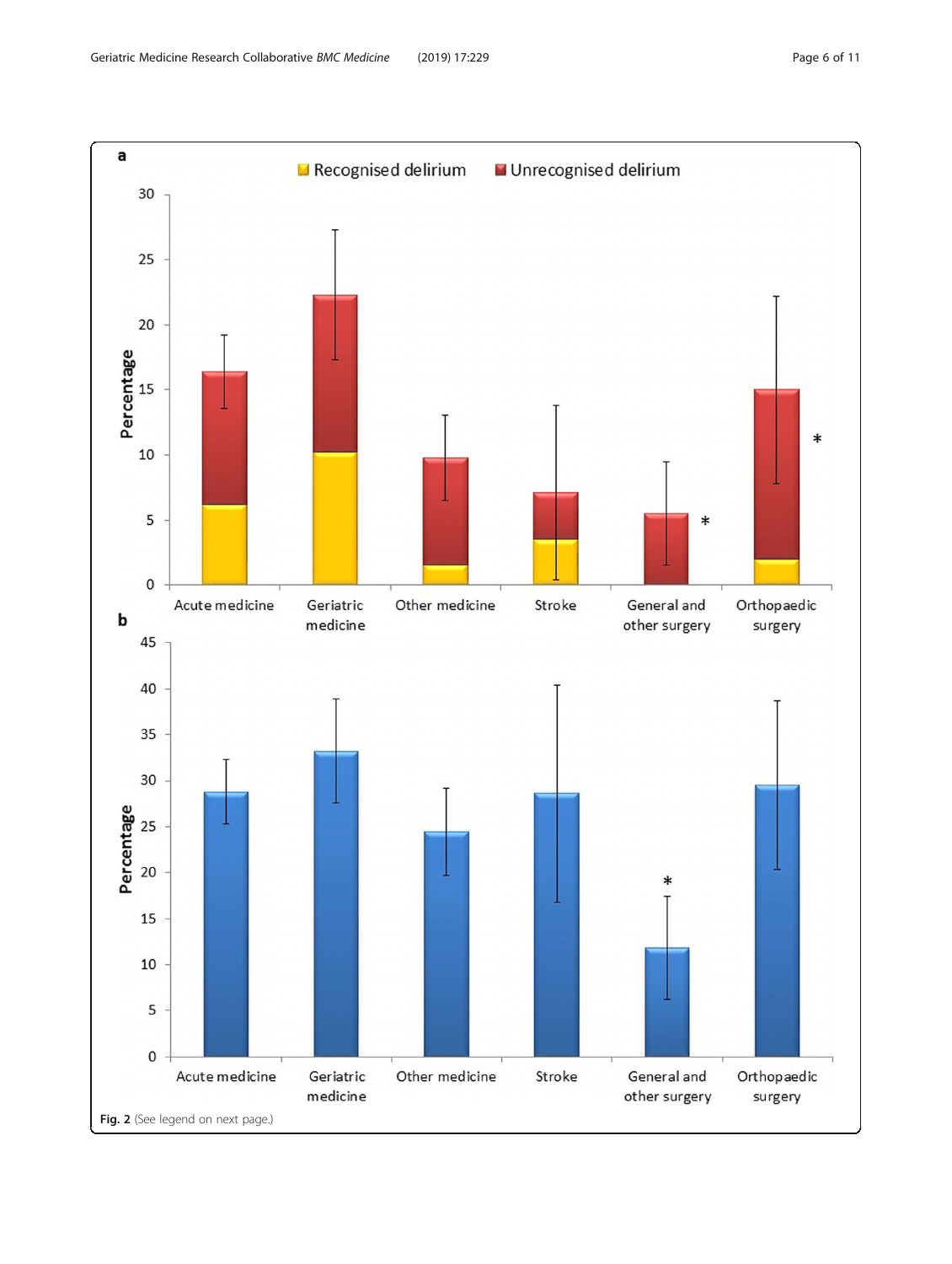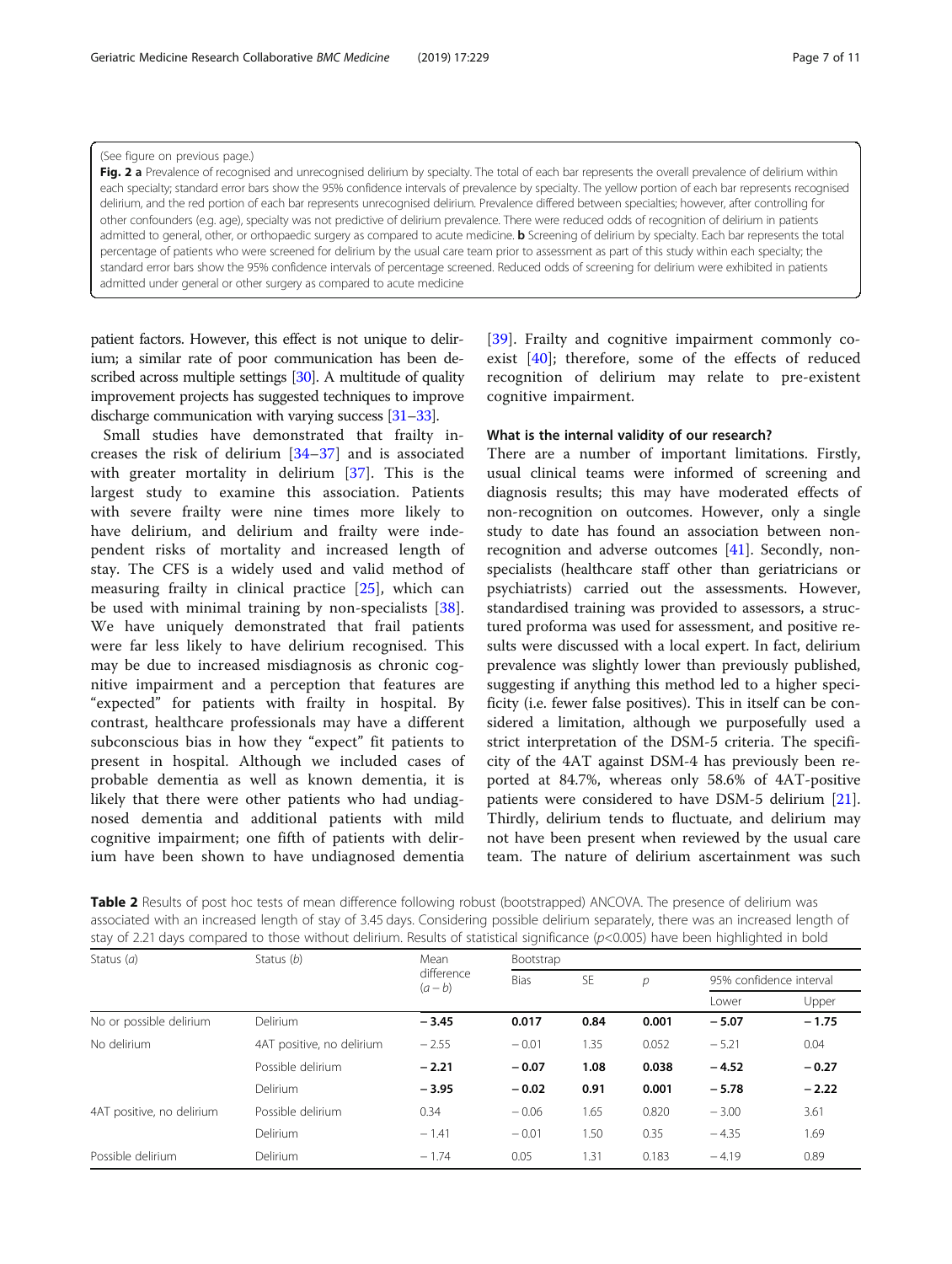#### <span id="page-6-0"></span>(See figure on previous page.)

Fig. 2 a Prevalence of recognised and unrecognised delirium by specialty. The total of each bar represents the overall prevalence of delirium within each specialty; standard error bars show the 95% confidence intervals of prevalence by specialty. The yellow portion of each bar represents recognised delirium, and the red portion of each bar represents unrecognised delirium. Prevalence differed between specialties; however, after controlling for other confounders (e.g. age), specialty was not predictive of delirium prevalence. There were reduced odds of recognition of delirium in patients admitted to general, other, or orthopaedic surgery as compared to acute medicine. **b** Screening of delirium by specialty. Each bar represents the total percentage of patients who were screened for delirium by the usual care team prior to assessment as part of this study within each specialty; the standard error bars show the 95% confidence intervals of percentage screened. Reduced odds of screening for delirium were exhibited in patients admitted under general or other surgery as compared to acute medicine

patient factors. However, this effect is not unique to delirium; a similar rate of poor communication has been described across multiple settings [\[30\]](#page-10-0). A multitude of quality improvement projects has suggested techniques to improve discharge communication with varying success [\[31](#page-10-0)–[33](#page-10-0)].

Small studies have demonstrated that frailty increases the risk of delirium [[34](#page-10-0)–[37\]](#page-10-0) and is associated with greater mortality in delirium [[37\]](#page-10-0). This is the largest study to examine this association. Patients with severe frailty were nine times more likely to have delirium, and delirium and frailty were independent risks of mortality and increased length of stay. The CFS is a widely used and valid method of measuring frailty in clinical practice  $[25]$  $[25]$ , which can be used with minimal training by non-specialists [\[38](#page-10-0)]. We have uniquely demonstrated that frail patients were far less likely to have delirium recognised. This may be due to increased misdiagnosis as chronic cognitive impairment and a perception that features are "expected" for patients with frailty in hospital. By contrast, healthcare professionals may have a different subconscious bias in how they "expect" fit patients to present in hospital. Although we included cases of probable dementia as well as known dementia, it is likely that there were other patients who had undiagnosed dementia and additional patients with mild cognitive impairment; one fifth of patients with delirium have been shown to have undiagnosed dementia

[[39\]](#page-10-0). Frailty and cognitive impairment commonly coexist [[40\]](#page-10-0); therefore, some of the effects of reduced recognition of delirium may relate to pre-existent cognitive impairment.

# What is the internal validity of our research?

There are a number of important limitations. Firstly, usual clinical teams were informed of screening and diagnosis results; this may have moderated effects of non-recognition on outcomes. However, only a single study to date has found an association between nonrecognition and adverse outcomes [[41](#page-10-0)]. Secondly, nonspecialists (healthcare staff other than geriatricians or psychiatrists) carried out the assessments. However, standardised training was provided to assessors, a structured proforma was used for assessment, and positive results were discussed with a local expert. In fact, delirium prevalence was slightly lower than previously published, suggesting if anything this method led to a higher specificity (i.e. fewer false positives). This in itself can be considered a limitation, although we purposefully used a strict interpretation of the DSM-5 criteria. The specificity of the 4AT against DSM-4 has previously been reported at 84.7%, whereas only 58.6% of 4AT-positive patients were considered to have DSM-5 delirium [\[21](#page-10-0)]. Thirdly, delirium tends to fluctuate, and delirium may not have been present when reviewed by the usual care team. The nature of delirium ascertainment was such

| Table 2 Results of post hoc tests of mean difference following robust (bootstrapped) ANCOVA. The presence of delirium was             |
|---------------------------------------------------------------------------------------------------------------------------------------|
| associated with an increased length of stay of 3.45 days. Considering possible delirium separately, there was an increased length of  |
| stay of 2.21 days compared to those without delirium. Results of statistical significance ( $p<0.005$ ) have been highlighted in bold |

| Status $(a)$              | Status (b)                | Mean<br>difference<br>$(a-b)$ | Bootstrap   |      |               |                         |         |  |  |
|---------------------------|---------------------------|-------------------------------|-------------|------|---------------|-------------------------|---------|--|--|
|                           |                           |                               | <b>Bias</b> | SE   | $\mathcal{D}$ | 95% confidence interval |         |  |  |
|                           |                           |                               |             |      |               | Lower                   | Upper   |  |  |
| No or possible delirium   | <b>Delirium</b>           | $-3.45$                       | 0.017       | 0.84 | 0.001         | $-5.07$                 | $-1.75$ |  |  |
| No delirium               | 4AT positive, no delirium | $-2.55$                       | $-0.01$     | 1.35 | 0.052         | $-5.21$                 | 0.04    |  |  |
|                           | Possible delirium         | $-2.21$                       | $-0.07$     | 1.08 | 0.038         | $-4.52$                 | $-0.27$ |  |  |
|                           | <b>Delirium</b>           | $-3.95$                       | $-0.02$     | 0.91 | 0.001         | $-5.78$                 | $-2.22$ |  |  |
| 4AT positive, no delirium | Possible delirium         | 0.34                          | $-0.06$     | 1.65 | 0.820         | $-3.00$                 | 3.61    |  |  |
|                           | <b>Delirium</b>           | $-1.41$                       | $-0.01$     | 1.50 | 0.35          | $-4.35$                 | 1.69    |  |  |
| Possible delirium         | <b>Delirium</b>           | $-1.74$                       | 0.05        | 1.31 | 0.183         | $-4.19$                 | 0.89    |  |  |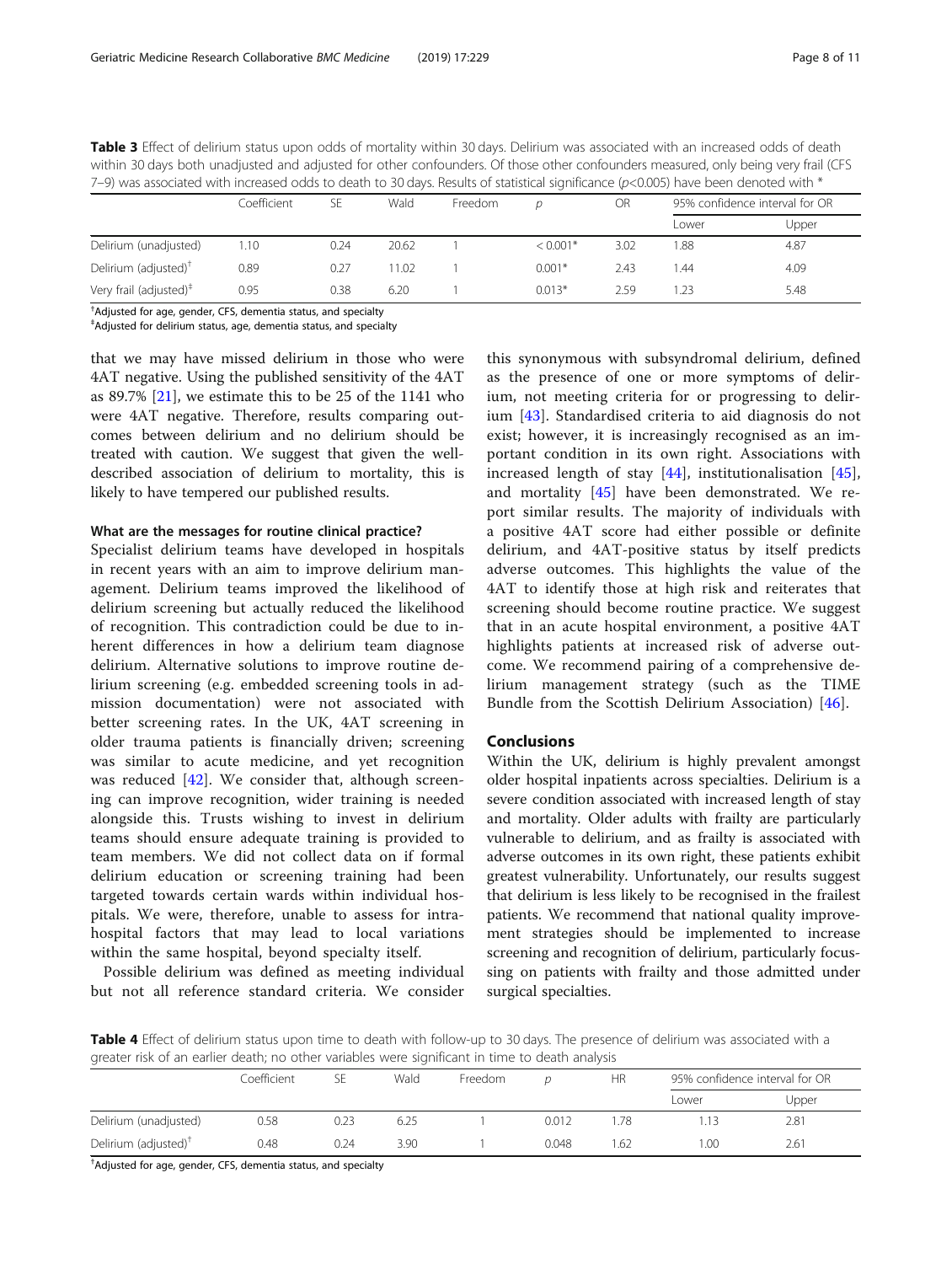| 7-9) was associated with increased odds to death to 30 days. Results of statistical significance ( $p<0.005$ ) have been denoted with $*$ |             |      |       |         |            |      |                                |       |
|-------------------------------------------------------------------------------------------------------------------------------------------|-------------|------|-------|---------|------------|------|--------------------------------|-------|
|                                                                                                                                           | Coefficient | SE.  | Wald  | Freedom | D          | OR   | 95% confidence interval for OR |       |
|                                                                                                                                           |             |      |       |         |            |      | l ower                         | Upper |
| Delirium (unadjusted)                                                                                                                     | 1.10        | 0.24 | 20.62 |         | $< 0.001*$ | 3.02 | 1.88                           | 4.87  |
| Delirium (adjusted) <sup>†</sup>                                                                                                          | 0.89        | 0.27 | 11.02 |         | $0.001*$   | 2.43 | 1.44                           | 4.09  |
| Very frail (adjusted) <sup>#</sup>                                                                                                        | 0.95        | 0.38 | 6.20  |         | $0.013*$   | 2.59 | 1 23                           | 5.48  |

<span id="page-7-0"></span>Table 3 Effect of delirium status upon odds of mortality within 30 days. Delirium was associated with an increased odds of death within 30 days both unadjusted and adjusted for other confounders. Of those other confounders measured, only being very frail (CFS

† Adjusted for age, gender, CFS, dementia status, and specialty

‡ Adjusted for delirium status, age, dementia status, and specialty

that we may have missed delirium in those who were 4AT negative. Using the published sensitivity of the 4AT as  $89.7\%$  [\[21\]](#page-10-0), we estimate this to be 25 of the 1141 who were 4AT negative. Therefore, results comparing outcomes between delirium and no delirium should be treated with caution. We suggest that given the welldescribed association of delirium to mortality, this is likely to have tempered our published results.

# What are the messages for routine clinical practice?

Specialist delirium teams have developed in hospitals in recent years with an aim to improve delirium management. Delirium teams improved the likelihood of delirium screening but actually reduced the likelihood of recognition. This contradiction could be due to inherent differences in how a delirium team diagnose delirium. Alternative solutions to improve routine delirium screening (e.g. embedded screening tools in admission documentation) were not associated with better screening rates. In the UK, 4AT screening in older trauma patients is financially driven; screening was similar to acute medicine, and yet recognition was reduced [\[42](#page-10-0)]. We consider that, although screening can improve recognition, wider training is needed alongside this. Trusts wishing to invest in delirium teams should ensure adequate training is provided to team members. We did not collect data on if formal delirium education or screening training had been targeted towards certain wards within individual hospitals. We were, therefore, unable to assess for intrahospital factors that may lead to local variations within the same hospital, beyond specialty itself.

Possible delirium was defined as meeting individual but not all reference standard criteria. We consider

this synonymous with subsyndromal delirium, defined as the presence of one or more symptoms of delirium, not meeting criteria for or progressing to delirium [\[43](#page-10-0)]. Standardised criteria to aid diagnosis do not exist; however, it is increasingly recognised as an important condition in its own right. Associations with increased length of stay [[44\]](#page-10-0), institutionalisation [\[45](#page-10-0)], and mortality [[45\]](#page-10-0) have been demonstrated. We report similar results. The majority of individuals with a positive 4AT score had either possible or definite delirium, and 4AT-positive status by itself predicts adverse outcomes. This highlights the value of the 4AT to identify those at high risk and reiterates that screening should become routine practice. We suggest that in an acute hospital environment, a positive 4AT highlights patients at increased risk of adverse outcome. We recommend pairing of a comprehensive delirium management strategy (such as the TIME Bundle from the Scottish Delirium Association) [[46\]](#page-10-0).

# Conclusions

Within the UK, delirium is highly prevalent amongst older hospital inpatients across specialties. Delirium is a severe condition associated with increased length of stay and mortality. Older adults with frailty are particularly vulnerable to delirium, and as frailty is associated with adverse outcomes in its own right, these patients exhibit greatest vulnerability. Unfortunately, our results suggest that delirium is less likely to be recognised in the frailest patients. We recommend that national quality improvement strategies should be implemented to increase screening and recognition of delirium, particularly focussing on patients with frailty and those admitted under surgical specialties.

Table 4 Effect of delirium status upon time to death with follow-up to 30 days. The presence of delirium was associated with a greater risk of an earlier death; no other variables were significant in time to death analysis

|                                  | Coefficient | SE   | Wald | Freedom |       | ΗR  | 95% confidence interval for OR |       |
|----------------------------------|-------------|------|------|---------|-------|-----|--------------------------------|-------|
|                                  |             |      |      |         |       |     | Lower                          | Upper |
| Delirium (unadjusted)            | 0.58        | 0.23 | 6.25 |         | 0.012 | .78 | 1.13                           | 2.81  |
| Delirium (adjusted) <sup>†</sup> | 0.48        | 0.24 | 3.90 |         | 0.048 | .62 | 00.1                           | 2.61  |

† Adjusted for age, gender, CFS, dementia status, and specialty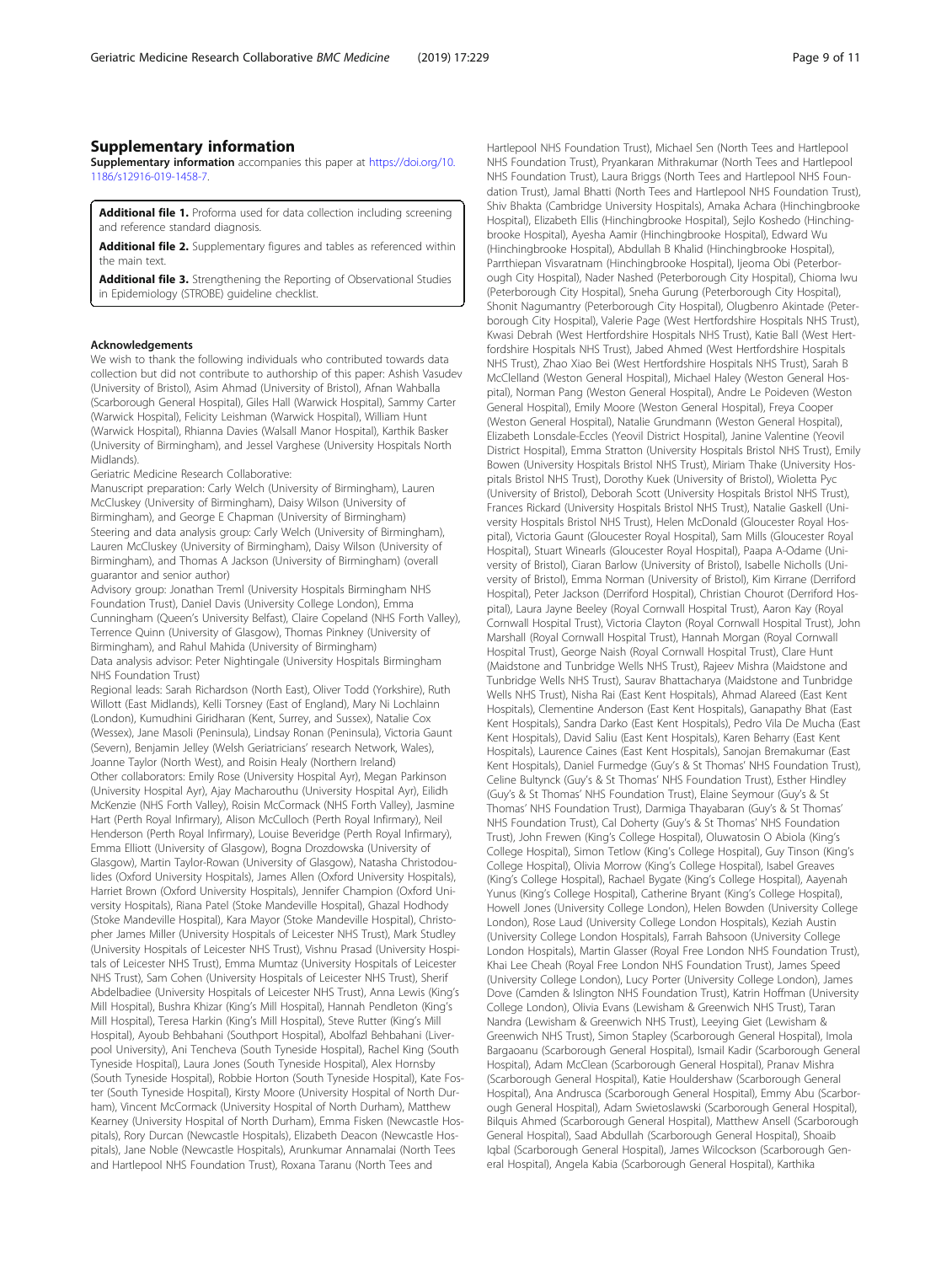<span id="page-8-0"></span>Supplementary information accompanies this paper at [https://doi.org/10.](https://doi.org/10.1186/s12916-019-1458-7) [1186/s12916-019-1458-7.](https://doi.org/10.1186/s12916-019-1458-7)

Additional file 1. Proforma used for data collection including screening and reference standard diagnosis.

Additional file 2. Supplementary figures and tables as referenced within the main text.

Additional file 3. Strengthening the Reporting of Observational Studies in Epidemiology (STROBE) guideline checklist.

#### Acknowledgements

We wish to thank the following individuals who contributed towards data collection but did not contribute to authorship of this paper: Ashish Vasudev (University of Bristol), Asim Ahmad (University of Bristol), Afnan Wahballa (Scarborough General Hospital), Giles Hall (Warwick Hospital), Sammy Carter (Warwick Hospital), Felicity Leishman (Warwick Hospital), William Hunt (Warwick Hospital), Rhianna Davies (Walsall Manor Hospital), Karthik Basker (University of Birmingham), and Jessel Varghese (University Hospitals North Midlands).

Geriatric Medicine Research Collaborative:

Manuscript preparation: Carly Welch (University of Birmingham), Lauren McCluskey (University of Birmingham), Daisy Wilson (University of Birmingham), and George E Chapman (University of Birmingham) Steering and data analysis group: Carly Welch (University of Birmingham), Lauren McCluskey (University of Birmingham), Daisy Wilson (University of Birmingham), and Thomas A Jackson (University of Birmingham) (overall guarantor and senior author)

Advisory group: Jonathan Treml (University Hospitals Birmingham NHS Foundation Trust), Daniel Davis (University College London), Emma Cunningham (Queen's University Belfast), Claire Copeland (NHS Forth Valley), Terrence Quinn (University of Glasgow), Thomas Pinkney (University of Birmingham), and Rahul Mahida (University of Birmingham) Data analysis advisor: Peter Nightingale (University Hospitals Birmingham NHS Foundation Trust)

Regional leads: Sarah Richardson (North East), Oliver Todd (Yorkshire), Ruth Willott (East Midlands), Kelli Torsney (East of England), Mary Ni Lochlainn (London), Kumudhini Giridharan (Kent, Surrey, and Sussex), Natalie Cox (Wessex), Jane Masoli (Peninsula), Lindsay Ronan (Peninsula), Victoria Gaunt (Severn), Benjamin Jelley (Welsh Geriatricians' research Network, Wales), Joanne Taylor (North West), and Roisin Healy (Northern Ireland) Other collaborators: Emily Rose (University Hospital Ayr), Megan Parkinson (University Hospital Ayr), Ajay Macharouthu (University Hospital Ayr), Eilidh McKenzie (NHS Forth Valley), Roisin McCormack (NHS Forth Valley), Jasmine Hart (Perth Royal Infirmary), Alison McCulloch (Perth Royal Infirmary), Neil Henderson (Perth Royal Infirmary), Louise Beveridge (Perth Royal Infirmary), Emma Elliott (University of Glasgow), Bogna Drozdowska (University of Glasgow), Martin Taylor-Rowan (University of Glasgow), Natasha Christodoulides (Oxford University Hospitals), James Allen (Oxford University Hospitals), Harriet Brown (Oxford University Hospitals), Jennifer Champion (Oxford University Hospitals), Riana Patel (Stoke Mandeville Hospital), Ghazal Hodhody (Stoke Mandeville Hospital), Kara Mayor (Stoke Mandeville Hospital), Christopher James Miller (University Hospitals of Leicester NHS Trust), Mark Studley (University Hospitals of Leicester NHS Trust), Vishnu Prasad (University Hospitals of Leicester NHS Trust), Emma Mumtaz (University Hospitals of Leicester NHS Trust), Sam Cohen (University Hospitals of Leicester NHS Trust), Sherif Abdelbadiee (University Hospitals of Leicester NHS Trust), Anna Lewis (King's Mill Hospital), Bushra Khizar (King's Mill Hospital), Hannah Pendleton (King's Mill Hospital), Teresa Harkin (King's Mill Hospital), Steve Rutter (King's Mill Hospital), Ayoub Behbahani (Southport Hospital), Abolfazl Behbahani (Liverpool University), Ani Tencheva (South Tyneside Hospital), Rachel King (South Tyneside Hospital), Laura Jones (South Tyneside Hospital), Alex Hornsby (South Tyneside Hospital), Robbie Horton (South Tyneside Hospital), Kate Foster (South Tyneside Hospital), Kirsty Moore (University Hospital of North Durham), Vincent McCormack (University Hospital of North Durham), Matthew Kearney (University Hospital of North Durham), Emma Fisken (Newcastle Hospitals), Rory Durcan (Newcastle Hospitals), Elizabeth Deacon (Newcastle Hospitals), Jane Noble (Newcastle Hospitals), Arunkumar Annamalai (North Tees and Hartlepool NHS Foundation Trust), Roxana Taranu (North Tees and

Hartlepool NHS Foundation Trust), Michael Sen (North Tees and Hartlepool NHS Foundation Trust), Pryankaran Mithrakumar (North Tees and Hartlepool NHS Foundation Trust), Laura Briggs (North Tees and Hartlepool NHS Foundation Trust), Jamal Bhatti (North Tees and Hartlepool NHS Foundation Trust), Shiv Bhakta (Cambridge University Hospitals), Amaka Achara (Hinchingbrooke Hospital), Elizabeth Ellis (Hinchingbrooke Hospital), Sejlo Koshedo (Hinchingbrooke Hospital), Ayesha Aamir (Hinchingbrooke Hospital), Edward Wu (Hinchingbrooke Hospital), Abdullah B Khalid (Hinchingbrooke Hospital), Parrthiepan Visvaratnam (Hinchingbrooke Hospital), Ijeoma Obi (Peterborough City Hospital), Nader Nashed (Peterborough City Hospital), Chioma Iwu (Peterborough City Hospital), Sneha Gurung (Peterborough City Hospital), Shonit Nagumantry (Peterborough City Hospital), Olugbenro Akintade (Peterborough City Hospital), Valerie Page (West Hertfordshire Hospitals NHS Trust), Kwasi Debrah (West Hertfordshire Hospitals NHS Trust), Katie Ball (West Hertfordshire Hospitals NHS Trust), Jabed Ahmed (West Hertfordshire Hospitals NHS Trust), Zhao Xiao Bei (West Hertfordshire Hospitals NHS Trust), Sarah B McClelland (Weston General Hospital), Michael Haley (Weston General Hospital), Norman Pang (Weston General Hospital), Andre Le Poideven (Weston General Hospital), Emily Moore (Weston General Hospital), Freya Cooper (Weston General Hospital), Natalie Grundmann (Weston General Hospital), Elizabeth Lonsdale-Eccles (Yeovil District Hospital), Janine Valentine (Yeovil District Hospital), Emma Stratton (University Hospitals Bristol NHS Trust), Emily Bowen (University Hospitals Bristol NHS Trust), Miriam Thake (University Hospitals Bristol NHS Trust), Dorothy Kuek (University of Bristol), Wioletta Pyc (University of Bristol), Deborah Scott (University Hospitals Bristol NHS Trust), Frances Rickard (University Hospitals Bristol NHS Trust), Natalie Gaskell (University Hospitals Bristol NHS Trust), Helen McDonald (Gloucester Royal Hospital), Victoria Gaunt (Gloucester Royal Hospital), Sam Mills (Gloucester Royal Hospital), Stuart Winearls (Gloucester Royal Hospital), Paapa A-Odame (University of Bristol), Ciaran Barlow (University of Bristol), Isabelle Nicholls (University of Bristol), Emma Norman (University of Bristol), Kim Kirrane (Derriford Hospital), Peter Jackson (Derriford Hospital), Christian Chourot (Derriford Hospital), Laura Jayne Beeley (Royal Cornwall Hospital Trust), Aaron Kay (Royal Cornwall Hospital Trust), Victoria Clayton (Royal Cornwall Hospital Trust), John Marshall (Royal Cornwall Hospital Trust), Hannah Morgan (Royal Cornwall Hospital Trust), George Naish (Royal Cornwall Hospital Trust), Clare Hunt (Maidstone and Tunbridge Wells NHS Trust), Rajeev Mishra (Maidstone and Tunbridge Wells NHS Trust), Saurav Bhattacharya (Maidstone and Tunbridge Wells NHS Trust), Nisha Rai (East Kent Hospitals), Ahmad Alareed (East Kent Hospitals), Clementine Anderson (East Kent Hospitals), Ganapathy Bhat (East Kent Hospitals), Sandra Darko (East Kent Hospitals), Pedro Vila De Mucha (East Kent Hospitals), David Saliu (East Kent Hospitals), Karen Beharry (East Kent Hospitals), Laurence Caines (East Kent Hospitals), Sanojan Bremakumar (East Kent Hospitals), Daniel Furmedge (Guy's & St Thomas' NHS Foundation Trust), Celine Bultynck (Guy's & St Thomas' NHS Foundation Trust), Esther Hindley (Guy's & St Thomas' NHS Foundation Trust), Elaine Seymour (Guy's & St Thomas' NHS Foundation Trust), Darmiga Thayabaran (Guy's & St Thomas' NHS Foundation Trust), Cal Doherty (Guy's & St Thomas' NHS Foundation Trust), John Frewen (King's College Hospital), Oluwatosin O Abiola (King's College Hospital), Simon Tetlow (King's College Hospital), Guy Tinson (King's College Hospital), Olivia Morrow (King's College Hospital), Isabel Greaves (King's College Hospital), Rachael Bygate (King's College Hospital), Aayenah Yunus (King's College Hospital), Catherine Bryant (King's College Hospital), Howell Jones (University College London), Helen Bowden (University College London), Rose Laud (University College London Hospitals), Keziah Austin (University College London Hospitals), Farrah Bahsoon (University College London Hospitals), Martin Glasser (Royal Free London NHS Foundation Trust), Khai Lee Cheah (Royal Free London NHS Foundation Trust), James Speed (University College London), Lucy Porter (University College London), James Dove (Camden & Islington NHS Foundation Trust), Katrin Hoffman (University College London), Olivia Evans (Lewisham & Greenwich NHS Trust), Taran Nandra (Lewisham & Greenwich NHS Trust), Leeying Giet (Lewisham & Greenwich NHS Trust), Simon Stapley (Scarborough General Hospital), Imola Bargaoanu (Scarborough General Hospital), Ismail Kadir (Scarborough General Hospital), Adam McClean (Scarborough General Hospital), Pranav Mishra (Scarborough General Hospital), Katie Houldershaw (Scarborough General Hospital), Ana Andrusca (Scarborough General Hospital), Emmy Abu (Scarborough General Hospital), Adam Swietoslawski (Scarborough General Hospital), Bilquis Ahmed (Scarborough General Hospital), Matthew Ansell (Scarborough General Hospital), Saad Abdullah (Scarborough General Hospital), Shoaib Iqbal (Scarborough General Hospital), James Wilcockson (Scarborough General Hospital), Angela Kabia (Scarborough General Hospital), Karthika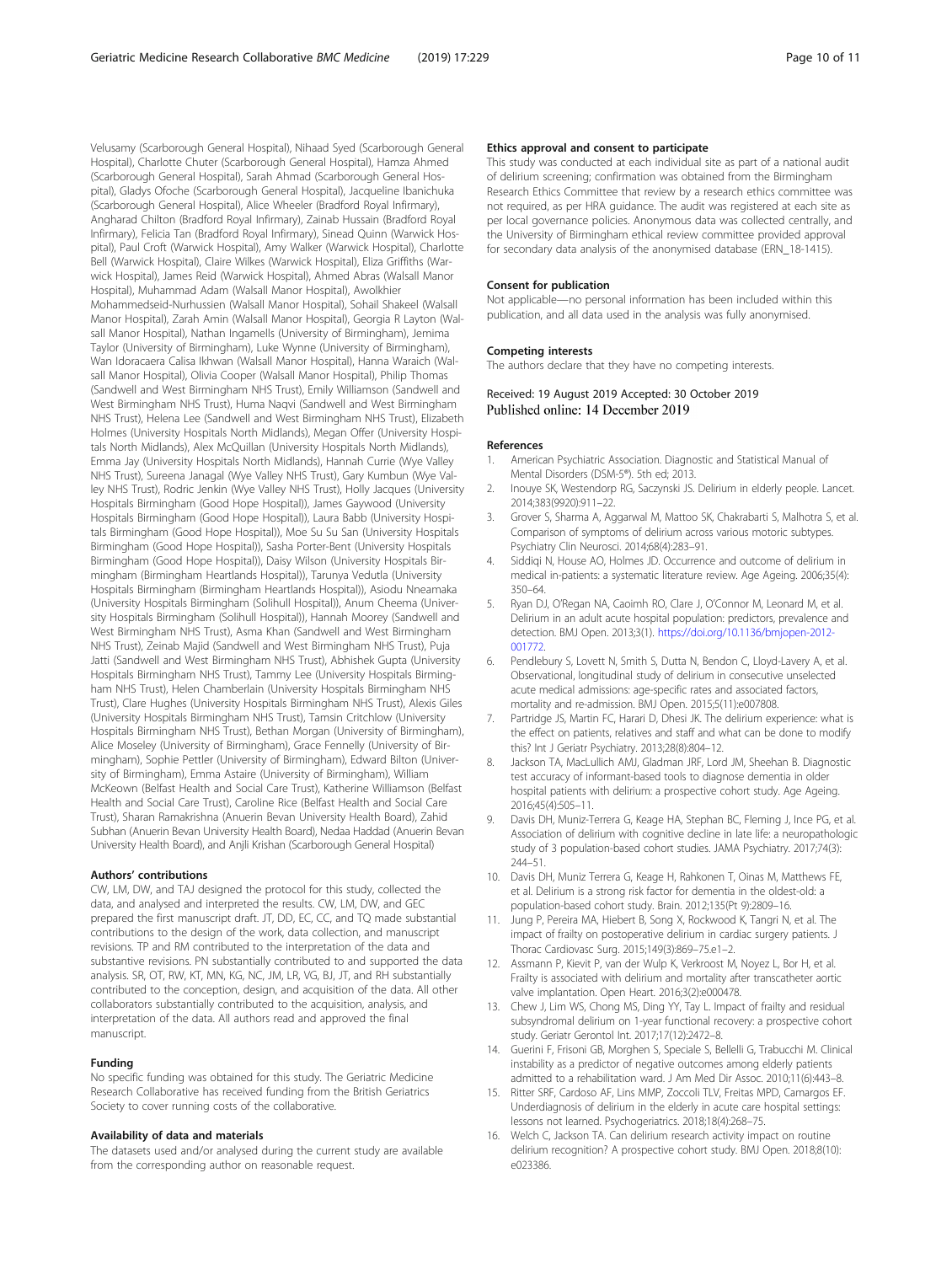<span id="page-9-0"></span>Velusamy (Scarborough General Hospital), Nihaad Syed (Scarborough General Hospital), Charlotte Chuter (Scarborough General Hospital), Hamza Ahmed (Scarborough General Hospital), Sarah Ahmad (Scarborough General Hospital), Gladys Ofoche (Scarborough General Hospital), Jacqueline Ibanichuka (Scarborough General Hospital), Alice Wheeler (Bradford Royal Infirmary), Angharad Chilton (Bradford Royal Infirmary), Zainab Hussain (Bradford Royal Infirmary), Felicia Tan (Bradford Royal Infirmary), Sinead Quinn (Warwick Hospital), Paul Croft (Warwick Hospital), Amy Walker (Warwick Hospital), Charlotte Bell (Warwick Hospital), Claire Wilkes (Warwick Hospital), Eliza Griffiths (Warwick Hospital), James Reid (Warwick Hospital), Ahmed Abras (Walsall Manor Hospital), Muhammad Adam (Walsall Manor Hospital), Awolkhier Mohammedseid-Nurhussien (Walsall Manor Hospital), Sohail Shakeel (Walsall Manor Hospital), Zarah Amin (Walsall Manor Hospital), Georgia R Layton (Walsall Manor Hospital), Nathan Ingamells (University of Birmingham), Jemima Taylor (University of Birmingham), Luke Wynne (University of Birmingham), Wan Idoracaera Calisa Ikhwan (Walsall Manor Hospital), Hanna Waraich (Walsall Manor Hospital), Olivia Cooper (Walsall Manor Hospital), Philip Thomas (Sandwell and West Birmingham NHS Trust), Emily Williamson (Sandwell and West Birmingham NHS Trust), Huma Naqvi (Sandwell and West Birmingham NHS Trust), Helena Lee (Sandwell and West Birmingham NHS Trust), Elizabeth Holmes (University Hospitals North Midlands), Megan Offer (University Hospitals North Midlands), Alex McQuillan (University Hospitals North Midlands), Emma Jay (University Hospitals North Midlands), Hannah Currie (Wye Valley NHS Trust), Sureena Janagal (Wye Valley NHS Trust), Gary Kumbun (Wye Valley NHS Trust), Rodric Jenkin (Wye Valley NHS Trust), Holly Jacques (University Hospitals Birmingham (Good Hope Hospital)), James Gaywood (University Hospitals Birmingham (Good Hope Hospital)), Laura Babb (University Hospitals Birmingham (Good Hope Hospital)), Moe Su Su San (University Hospitals Birmingham (Good Hope Hospital)), Sasha Porter-Bent (University Hospitals Birmingham (Good Hope Hospital)), Daisy Wilson (University Hospitals Birmingham (Birmingham Heartlands Hospital)), Tarunya Vedutla (University Hospitals Birmingham (Birmingham Heartlands Hospital)), Asiodu Nneamaka (University Hospitals Birmingham (Solihull Hospital)), Anum Cheema (University Hospitals Birmingham (Solihull Hospital)), Hannah Moorey (Sandwell and West Birmingham NHS Trust), Asma Khan (Sandwell and West Birmingham NHS Trust), Zeinab Majid (Sandwell and West Birmingham NHS Trust), Puja Jatti (Sandwell and West Birmingham NHS Trust), Abhishek Gupta (University Hospitals Birmingham NHS Trust), Tammy Lee (University Hospitals Birmingham NHS Trust), Helen Chamberlain (University Hospitals Birmingham NHS Trust), Clare Hughes (University Hospitals Birmingham NHS Trust), Alexis Giles (University Hospitals Birmingham NHS Trust), Tamsin Critchlow (University Hospitals Birmingham NHS Trust), Bethan Morgan (University of Birmingham), Alice Moseley (University of Birmingham), Grace Fennelly (University of Birmingham), Sophie Pettler (University of Birmingham), Edward Bilton (University of Birmingham), Emma Astaire (University of Birmingham), William McKeown (Belfast Health and Social Care Trust), Katherine Williamson (Belfast Health and Social Care Trust), Caroline Rice (Belfast Health and Social Care Trust), Sharan Ramakrishna (Anuerin Bevan University Health Board), Zahid Subhan (Anuerin Bevan University Health Board), Nedaa Haddad (Anuerin Bevan University Health Board), and Anjli Krishan (Scarborough General Hospital)

#### Authors' contributions

CW, LM, DW, and TAJ designed the protocol for this study, collected the data, and analysed and interpreted the results. CW, LM, DW, and GEC prepared the first manuscript draft. JT, DD, EC, CC, and TQ made substantial contributions to the design of the work, data collection, and manuscript revisions. TP and RM contributed to the interpretation of the data and substantive revisions. PN substantially contributed to and supported the data analysis. SR, OT, RW, KT, MN, KG, NC, JM, LR, VG, BJ, JT, and RH substantially contributed to the conception, design, and acquisition of the data. All other collaborators substantially contributed to the acquisition, analysis, and interpretation of the data. All authors read and approved the final manuscript.

#### Funding

No specific funding was obtained for this study. The Geriatric Medicine Research Collaborative has received funding from the British Geriatrics Society to cover running costs of the collaborative.

#### Availability of data and materials

The datasets used and/or analysed during the current study are available from the corresponding author on reasonable request.

#### Ethics approval and consent to participate

This study was conducted at each individual site as part of a national audit of delirium screening; confirmation was obtained from the Birmingham Research Ethics Committee that review by a research ethics committee was not required, as per HRA guidance. The audit was registered at each site as per local governance policies. Anonymous data was collected centrally, and the University of Birmingham ethical review committee provided approval for secondary data analysis of the anonymised database (ERN\_18-1415).

#### Consent for publication

Not applicable—no personal information has been included within this publication, and all data used in the analysis was fully anonymised.

#### Competing interests

The authors declare that they have no competing interests.

# Received: 19 August 2019 Accepted: 30 October 2019

#### References

- 1. American Psychiatric Association. Diagnostic and Statistical Manual of Mental Disorders (DSM-5®). 5th ed; 2013.
- 2. Inouye SK, Westendorp RG, Saczynski JS. Delirium in elderly people. Lancet. 2014;383(9920):911–22.
- 3. Grover S, Sharma A, Aggarwal M, Mattoo SK, Chakrabarti S, Malhotra S, et al. Comparison of symptoms of delirium across various motoric subtypes. Psychiatry Clin Neurosci. 2014;68(4):283–91.
- 4. Siddiqi N, House AO, Holmes JD. Occurrence and outcome of delirium in medical in-patients: a systematic literature review. Age Ageing. 2006;35(4): 350–64.
- 5. Ryan DJ, O'Regan NA, Caoimh RO, Clare J, O'Connor M, Leonard M, et al. Delirium in an adult acute hospital population: predictors, prevalence and detection. BMJ Open. 2013;3(1). [https://doi.org/10.1136/bmjopen-2012-](https://doi.org/10.1136/bmjopen-2012-001772) [001772](https://doi.org/10.1136/bmjopen-2012-001772).
- Pendlebury S, Lovett N, Smith S, Dutta N, Bendon C, Lloyd-Lavery A, et al. Observational, longitudinal study of delirium in consecutive unselected acute medical admissions: age-specific rates and associated factors, mortality and re-admission. BMJ Open. 2015;5(11):e007808.
- 7. Partridge JS, Martin FC, Harari D, Dhesi JK. The delirium experience: what is the effect on patients, relatives and staff and what can be done to modify this? Int J Geriatr Psychiatry. 2013;28(8):804–12.
- 8. Jackson TA, MacLullich AMJ, Gladman JRF, Lord JM, Sheehan B. Diagnostic test accuracy of informant-based tools to diagnose dementia in older hospital patients with delirium: a prospective cohort study. Age Ageing. 2016;45(4):505–11.
- 9. Davis DH, Muniz-Terrera G, Keage HA, Stephan BC, Fleming J, Ince PG, et al. Association of delirium with cognitive decline in late life: a neuropathologic study of 3 population-based cohort studies. JAMA Psychiatry. 2017;74(3): 244–51.
- 10. Davis DH, Muniz Terrera G, Keage H, Rahkonen T, Oinas M, Matthews FE, et al. Delirium is a strong risk factor for dementia in the oldest-old: a population-based cohort study. Brain. 2012;135(Pt 9):2809–16.
- 11. Jung P, Pereira MA, Hiebert B, Song X, Rockwood K, Tangri N, et al. The impact of frailty on postoperative delirium in cardiac surgery patients. J Thorac Cardiovasc Surg. 2015;149(3):869–75.e1–2.
- 12. Assmann P, Kievit P, van der Wulp K, Verkroost M, Noyez L, Bor H, et al. Frailty is associated with delirium and mortality after transcatheter aortic valve implantation. Open Heart. 2016;3(2):e000478.
- 13. Chew J, Lim WS, Chong MS, Ding YY, Tay L. Impact of frailty and residual subsyndromal delirium on 1-year functional recovery: a prospective cohort study. Geriatr Gerontol Int. 2017;17(12):2472–8.
- 14. Guerini F, Frisoni GB, Morghen S, Speciale S, Bellelli G, Trabucchi M. Clinical instability as a predictor of negative outcomes among elderly patients admitted to a rehabilitation ward. J Am Med Dir Assoc. 2010;11(6):443–8.
- 15. Ritter SRF, Cardoso AF, Lins MMP, Zoccoli TLV, Freitas MPD, Camargos EF. Underdiagnosis of delirium in the elderly in acute care hospital settings: lessons not learned. Psychogeriatrics. 2018;18(4):268–75.
- 16. Welch C, Jackson TA. Can delirium research activity impact on routine delirium recognition? A prospective cohort study. BMJ Open. 2018;8(10): e023386.